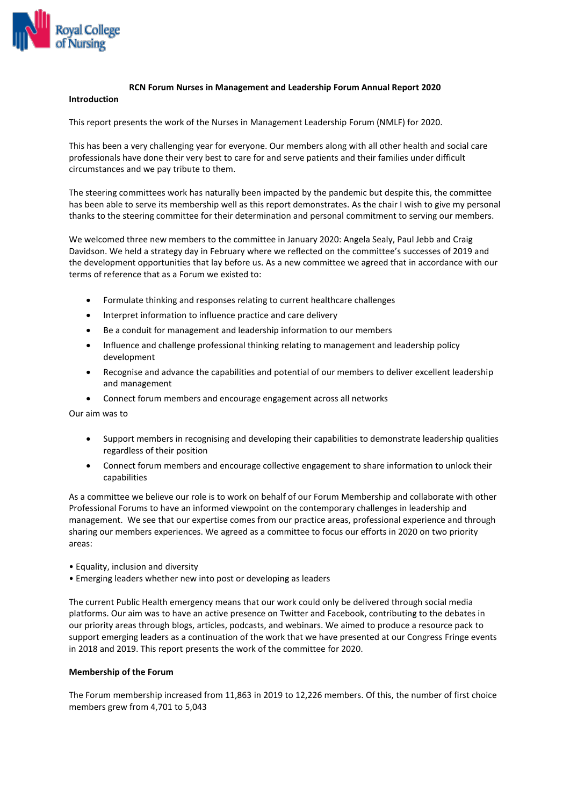

### **RCN Forum Nurses in Management and Leadership Forum Annual Report 2020**

# **Introduction**

This report presents the work of the Nurses in Management Leadership Forum (NMLF) for 2020.

This has been a very challenging year for everyone. Our members along with all other health and social care professionals have done their very best to care for and serve patients and their families under difficult circumstances and we pay tribute to them.

The steering committees work has naturally been impacted by the pandemic but despite this, the committee has been able to serve its membership well as this report demonstrates. As the chair I wish to give my personal thanks to the steering committee for their determination and personal commitment to serving our members.

We welcomed three new members to the committee in January 2020: Angela Sealy, Paul Jebb and Craig Davidson. We held a strategy day in February where we reflected on the committee's successes of 2019 and the development opportunities that lay before us. As a new committee we agreed that in accordance with our terms of reference that as a Forum we existed to:

- Formulate thinking and responses relating to current healthcare challenges
- Interpret information to influence practice and care delivery
- Be a conduit for management and leadership information to our members
- Influence and challenge professional thinking relating to management and leadership policy development
- Recognise and advance the capabilities and potential of our members to deliver excellent leadership and management
- Connect forum members and encourage engagement across all networks

Our aim was to

- Support members in recognising and developing their capabilities to demonstrate leadership qualities regardless of their position
- Connect forum members and encourage collective engagement to share information to unlock their capabilities

As a committee we believe our role is to work on behalf of our Forum Membership and collaborate with other Professional Forums to have an informed viewpoint on the contemporary challenges in leadership and management. We see that our expertise comes from our practice areas, professional experience and through sharing our members experiences. We agreed as a committee to focus our efforts in 2020 on two priority areas:

- Equality, inclusion and diversity
- Emerging leaders whether new into post or developing as leaders

The current Public Health emergency means that our work could only be delivered through social media platforms. Our aim was to have an active presence on Twitter and Facebook, contributing to the debates in our priority areas through blogs, articles, podcasts, and webinars. We aimed to produce a resource pack to support emerging leaders as a continuation of the work that we have presented at our Congress Fringe events in 2018 and 2019. This report presents the work of the committee for 2020.

### **Membership of the Forum**

The Forum membership increased from 11,863 in 2019 to 12,226 members. Of this, the number of first choice members grew from 4,701 to 5,043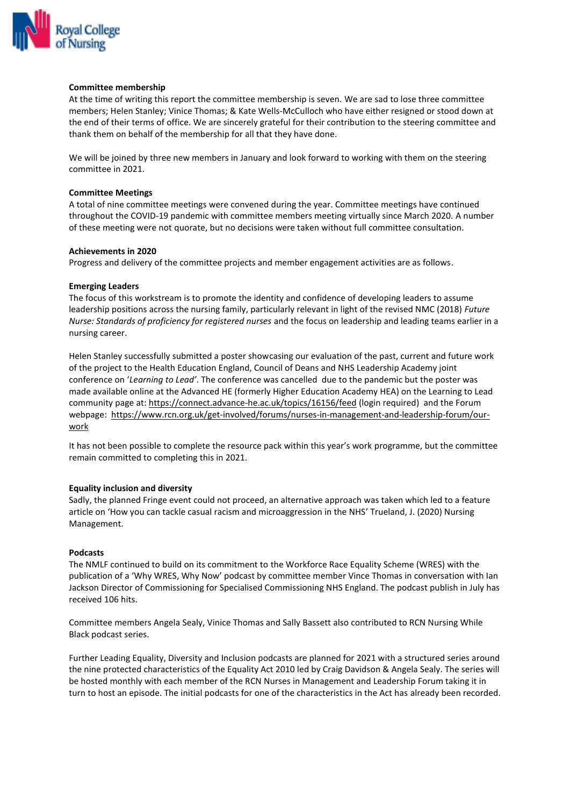

### **Committee membership**

At the time of writing this report the committee membership is seven. We are sad to lose three committee members; Helen Stanley; Vinice Thomas; & Kate Wells-McCulloch who have either resigned or stood down at the end of their terms of office. We are sincerely grateful for their contribution to the steering committee and thank them on behalf of the membership for all that they have done.

We will be joined by three new members in January and look forward to working with them on the steering committee in 2021.

## **Committee Meetings**

A total of nine committee meetings were convened during the year. Committee meetings have continued throughout the COVID-19 pandemic with committee members meeting virtually since March 2020. A number of these meeting were not quorate, but no decisions were taken without full committee consultation.

### **Achievements in 2020**

Progress and delivery of the committee projects and member engagement activities are as follows.

## **Emerging Leaders**

The focus of this workstream is to promote the identity and confidence of developing leaders to assume leadership positions across the nursing family, particularly relevant in light of the revised NMC (2018) *Future Nurse: Standards of proficiency for registered nurses* and the focus on leadership and leading teams earlier in a nursing career.

Helen Stanley successfully submitted a poster showcasing our evaluation of the past, current and future work of the project to the Health Education England, Council of Deans and NHS Leadership Academy joint conference on '*Learning to Lead'*. The conference was cancelled due to the pandemic but the poster was made available online at the Advanced HE (formerly Higher Education Academy HEA) on the Learning to Lead community page at[: https://connect.advance-he.ac.uk/topics/16156/feed](https://connect.advance-he.ac.uk/topics/16156/feed) (login required) and the Forum webpage: [https://www.rcn.org.uk/get-involved/forums/nurses-in-management-and-leadership-forum/our](https://www.rcn.org.uk/get-involved/forums/nurses-in-management-and-leadership-forum/our-work)[work](https://www.rcn.org.uk/get-involved/forums/nurses-in-management-and-leadership-forum/our-work)

It has not been possible to complete the resource pack within this year's work programme, but the committee remain committed to completing this in 2021.

# **Equality inclusion and diversity**

Sadly, the planned Fringe event could not proceed, an alternative approach was taken which led to a feature article on 'How you can tackle casual racism and microaggression in the NHS' Trueland, J. (2020) Nursing Management.

# **Podcasts**

The NMLF continued to build on its commitment to the Workforce Race Equality Scheme (WRES) with the publication of a 'Why WRES, Why Now' podcast by committee member Vince Thomas in conversation with Ian Jackson Director of Commissioning for Specialised Commissioning NHS England. The podcast publish in July has received 106 hits.

Committee members Angela Sealy, Vinice Thomas and Sally Bassett also contributed to RCN Nursing While Black podcast series.

Further Leading Equality, Diversity and Inclusion podcasts are planned for 2021 with a structured series around the nine protected characteristics of the Equality Act 2010 led by Craig Davidson & Angela Sealy. The series will be hosted monthly with each member of the RCN Nurses in Management and Leadership Forum taking it in turn to host an episode. The initial podcasts for one of the characteristics in the Act has already been recorded.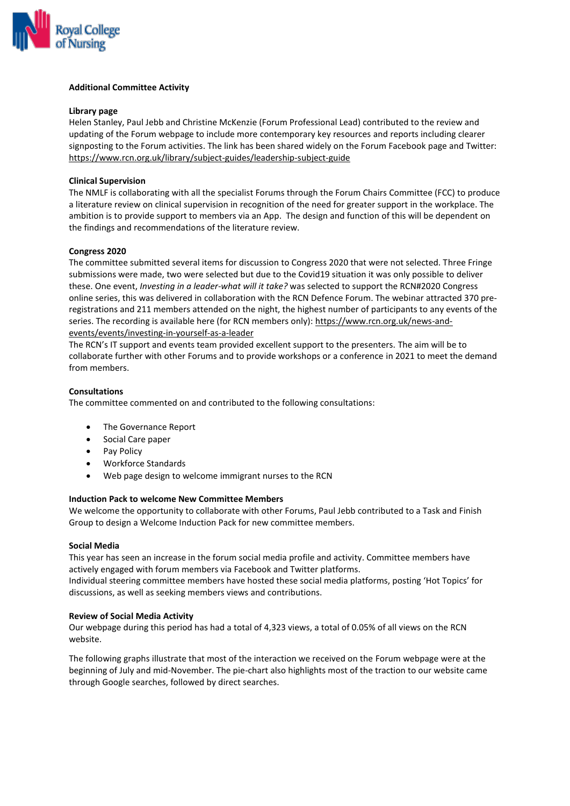

## **Additional Committee Activity**

### **Library page**

Helen Stanley, Paul Jebb and Christine McKenzie (Forum Professional Lead) contributed to the review and updating of the Forum webpage to include more contemporary key resources and reports including clearer signposting to the Forum activities. The link has been shared widely on the Forum Facebook page and Twitter: <https://www.rcn.org.uk/library/subject-guides/leadership-subject-guide>

# **Clinical Supervision**

The NMLF is collaborating with all the specialist Forums through the Forum Chairs Committee (FCC) to produce a literature review on clinical supervision in recognition of the need for greater support in the workplace. The ambition is to provide support to members via an App. The design and function of this will be dependent on the findings and recommendations of the literature review.

## **Congress 2020**

The committee submitted several items for discussion to Congress 2020 that were not selected. Three Fringe submissions were made, two were selected but due to the Covid19 situation it was only possible to deliver these. One event, *Investing in a leader-what will it take?* was selected to support the RCN#2020 Congress online series, this was delivered in collaboration with the RCN Defence Forum. The webinar attracted 370 preregistrations and 211 members attended on the night, the highest number of participants to any events of the series. The recording is available here (for RCN members only): [https://www.rcn.org.uk/news-and](https://www.rcn.org.uk/news-and-events/events/investing-in-yourself-as-a-leader)[events/events/investing-in-yourself-as-a-leader](https://www.rcn.org.uk/news-and-events/events/investing-in-yourself-as-a-leader)

The RCN's IT support and events team provided excellent support to the presenters. The aim will be to collaborate further with other Forums and to provide workshops or a conference in 2021 to meet the demand from members.

## **Consultations**

The committee commented on and contributed to the following consultations:

- The Governance Report
- Social Care paper
- Pay Policy
- Workforce Standards
- Web page design to welcome immigrant nurses to the RCN

# **Induction Pack to welcome New Committee Members**

We welcome the opportunity to collaborate with other Forums, Paul Jebb contributed to a Task and Finish Group to design a Welcome Induction Pack for new committee members.

### **Social Media**

This year has seen an increase in the forum social media profile and activity. Committee members have actively engaged with forum members via Facebook and Twitter platforms.

Individual steering committee members have hosted these social media platforms, posting 'Hot Topics' for discussions, as well as seeking members views and contributions.

### **Review of Social Media Activity**

Our webpage during this period has had a total of 4,323 views, a total of 0.05% of all views on the RCN website.

The following graphs illustrate that most of the interaction we received on the Forum webpage were at the beginning of July and mid-November. The pie-chart also highlights most of the traction to our website came through Google searches, followed by direct searches.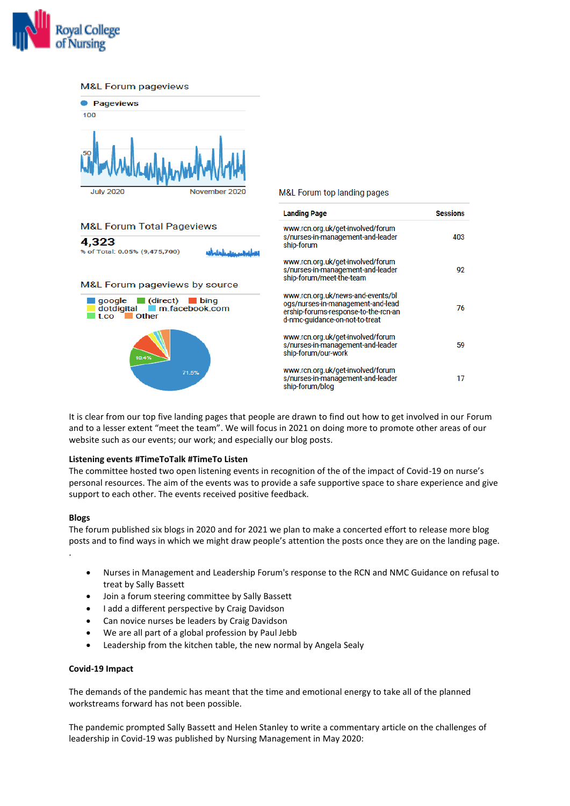

#### **M&L Forum pageviews**



It is clear from our top five landing pages that people are drawn to find out how to get involved in our Forum and to a lesser extent "meet the team". We will focus in 2021 on doing more to promote other areas of our website such as our events; our work; and especially our blog posts.

### **Listening events #TimeToTalk #TimeTo Listen**

The committee hosted two open listening events in recognition of the of the impact of Covid-19 on nurse's personal resources. The aim of the events was to provide a safe supportive space to share experience and give support to each other. The events received positive feedback.

### **Blogs**

The forum published six blogs in 2020 and for 2021 we plan to make a concerted effort to release more blog posts and to find ways in which we might draw people's attention the posts once they are on the landing page. .

- Nurses in Management and Leadership Forum's response to the RCN and NMC Guidance on refusal to treat by Sally Bassett
- Join a forum steering committee by Sally Bassett
- I add a different perspective by Craig Davidson
- Can novice nurses be leaders by Craig Davidson
- We are all part of a global profession by Paul Jebb
- Leadership from the kitchen table, the new normal by Angela Sealy

### **Covid-19 Impact**

The demands of the pandemic has meant that the time and emotional energy to take all of the planned workstreams forward has not been possible.

The pandemic prompted Sally Bassett and Helen Stanley to write a commentary article on the challenges of leadership in Covid-19 was published by Nursing Management in May 2020:

### M&L Forum top landing pages

**Sessions** 

403

 $Q<sub>2</sub>$ 

76

50

17